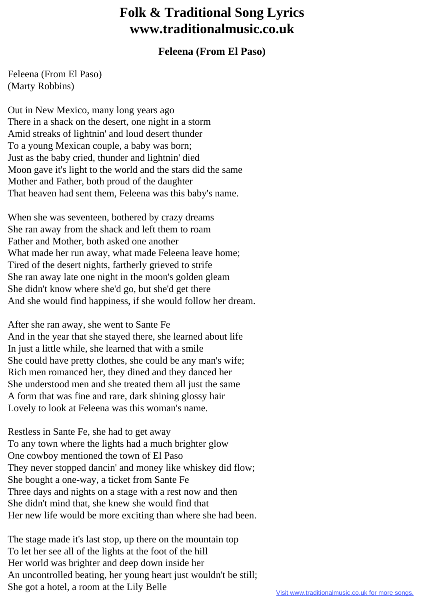## **Folk & Traditional Song Lyrics www.traditionalmusic.co.uk**

## **Feleena (From El Paso)**

Feleena (From El Paso) (Marty Robbins)

Out in New Mexico, many long years ago There in a shack on the desert, one night in a storm Amid streaks of lightnin' and loud desert thunder To a young Mexican couple, a baby was born; Just as the baby cried, thunder and lightnin' died Moon gave it's light to the world and the stars did the same Mother and Father, both proud of the daughter That heaven had sent them, Feleena was this baby's name.

When she was seventeen, bothered by crazy dreams She ran away from the shack and left them to roam Father and Mother, both asked one another What made her run away, what made Feleena leave home; Tired of the desert nights, fartherly grieved to strife She ran away late one night in the moon's golden gleam She didn't know where she'd go, but she'd get there And she would find happiness, if she would follow her dream.

After she ran away, she went to Sante Fe And in the year that she stayed there, she learned about life In just a little while, she learned that with a smile She could have pretty clothes, she could be any man's wife; Rich men romanced her, they dined and they danced her She understood men and she treated them all just the same A form that was fine and rare, dark shining glossy hair Lovely to look at Feleena was this woman's name.

Restless in Sante Fe, she had to get away To any town where the lights had a much brighter glow One cowboy mentioned the town of El Paso They never stopped dancin' and money like whiskey did flow; She bought a one-way, a ticket from Sante Fe Three days and nights on a stage with a rest now and then She didn't mind that, she knew she would find that Her new life would be more exciting than where she had been.

The stage made it's last stop, up there on the mountain top To let her see all of the lights at the foot of the hill Her world was brighter and deep down inside her An uncontrolled beating, her young heart just wouldn't be still; She got a hotel, a room at the Lily Belle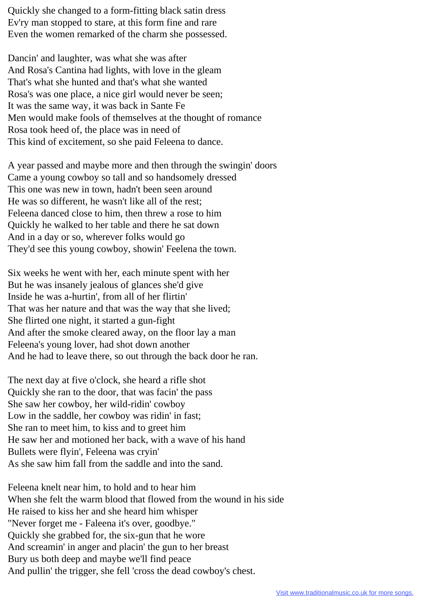Quickly she changed to a form-fitting black satin dress Ev'ry man stopped to stare, at this form fine and rare Even the women remarked of the charm she possessed.

Dancin' and laughter, was what she was after And Rosa's Cantina had lights, with love in the gleam That's what she hunted and that's what she wanted Rosa's was one place, a nice girl would never be seen; It was the same way, it was back in Sante Fe Men would make fools of themselves at the thought of romance Rosa took heed of, the place was in need of This kind of excitement, so she paid Feleena to dance.

A year passed and maybe more and then through the swingin' doors Came a young cowboy so tall and so handsomely dressed This one was new in town, hadn't been seen around He was so different, he wasn't like all of the rest; Feleena danced close to him, then threw a rose to him Quickly he walked to her table and there he sat down And in a day or so, wherever folks would go They'd see this young cowboy, showin' Feelena the town.

Six weeks he went with her, each minute spent with her But he was insanely jealous of glances she'd give Inside he was a-hurtin', from all of her flirtin' That was her nature and that was the way that she lived; She flirted one night, it started a gun-fight And after the smoke cleared away, on the floor lay a man Feleena's young lover, had shot down another And he had to leave there, so out through the back door he ran.

The next day at five o'clock, she heard a rifle shot Quickly she ran to the door, that was facin' the pass She saw her cowboy, her wild-ridin' cowboy Low in the saddle, her cowboy was ridin' in fast; She ran to meet him, to kiss and to greet him He saw her and motioned her back, with a wave of his hand Bullets were flyin', Feleena was cryin' As she saw him fall from the saddle and into the sand.

Feleena knelt near him, to hold and to hear him When she felt the warm blood that flowed from the wound in his side He raised to kiss her and she heard him whisper "Never forget me - Faleena it's over, goodbye." Quickly she grabbed for, the six-gun that he wore And screamin' in anger and placin' the gun to her breast Bury us both deep and maybe we'll find peace And pullin' the trigger, she fell 'cross the dead cowboy's chest.